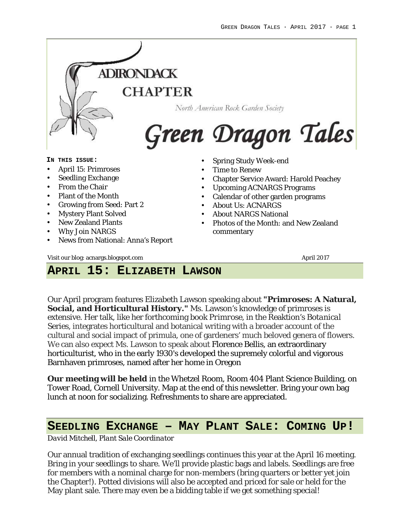

# **APRIL 15: ELIZABETH LAWSON**

Our April program features Elizabeth Lawson speaking about **"Primroses: A Natural, Social, and Horticultural History."** Ms. Lawson's knowledge of primroses is extensive. Her talk, like her forthcoming book *Primrose*, in the Reaktion's *Botanical* Series, integrates horticultural and botanical writing with a broader account of the cultural and social impact of primula, one of gardeners' much beloved genera of flowers. We can also expect Ms. Lawson to speak about Florence Bellis, an extraordinary horticulturist, who in the early 1930's developed the supremely colorful and vigorous Barnhaven primroses, named after her home in Oregon

**Our meeting will be held** in the Whetzel Room, Room 404 Plant Science Building, on Tower Road, Cornell University. Map at the end of this newsletter. Bring your own bag lunch at noon for socializing. Refreshments to share are appreciated.

# **SEEDLING EXCHANGE – MAY PLANT SALE: COMING UP!**

*David Mitchell, Plant Sale Coordinator*

Our annual tradition of exchanging seedlings continues this year at the April 16 meeting. Bring in your seedlings to share. We'll provide plastic bags and labels. Seedlings are free for members with a nominal charge for non-members (bring quarters or better yet join the Chapter!). Potted divisions will also be accepted and priced for sale or held for the May plant sale. There may even be a bidding table if we get something special!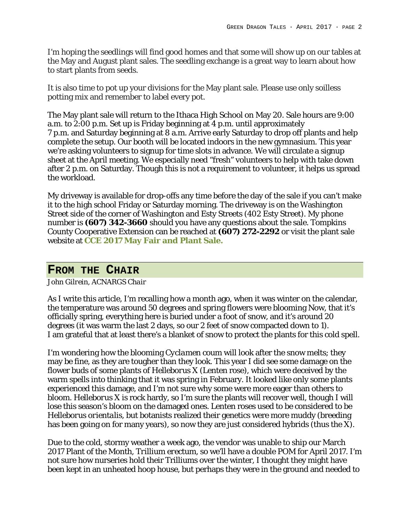I'm hoping the seedlings will find good homes and that some will show up on our tables at the May and August plant sales. The seedling exchange is a great way to learn about how to start plants from seeds.

It is also time to pot up your divisions for the May plant sale. Please use only soilless potting mix and remember to label every pot.

The May plant sale will return to the Ithaca High School on May 20. Sale hours are 9:00 a.m. to 2:00 p.m. Set up is Friday beginning at 4 p.m. until approximately 7 p.m. and Saturday beginning at 8 a.m. Arrive early Saturday to drop off plants and help complete the setup. Our booth will be located indoors in the new gymnasium. This year we're asking volunteers to signup for time slots in advance. We will circulate a signup sheet at the April meeting. We especially need "fresh" volunteers to help with take down after 2 p.m. on Saturday. Though this is not a requirement to volunteer, it helps us spread the workload.

My driveway is available for drop-offs any time before the day of the sale if you can't make it to the high school Friday or Saturday morning. The driveway is on the Washington Street side of the corner of Washington and Esty Streets (402 Esty Street). My phone number is **(607) 342-3660** should you have any questions about the sale. Tompkins County Cooperative Extension can be reached at **(607) 272-2292** or visit the plant sale website at **CCE 2017 May Fair and Plant Sale.**

#### **FROM THE CHAIR**

*John Gilrein, ACNARGS Chair*

As I write this article, I'm recalling how a month ago, when it was winter on the calendar, the temperature was around 50 degrees and spring flowers were blooming Now, that it's officially spring, everything here is buried under a foot of snow, and it's around 20 degrees (it was warm the last 2 days, so our 2 feet of snow compacted down to 1). I am grateful that at least there's a blanket of snow to protect the plants for this cold spell.

I'm wondering how the blooming *Cyclamen coum* will look after the snow melts; they may be fine, as they are tougher than they look. This year I did see some damage on the flower buds of some plants of *Helleborus X* (Lenten rose), which were deceived by the warm spells into thinking that it was spring in February. It looked like only some plants experienced this damage, and I'm not sure why some were more eager than others to bloom. *Helleborus X* is rock hardy, so I'm sure the plants will recover well, though I will lose this season's bloom on the damaged ones. Lenten roses used to be considered to be *Helleborus orientalis*, but botanists realized their genetics were more muddy (breeding has been going on for many years), so now they are just considered hybrids (thus the  $\overline{X}$ ).

Due to the cold, stormy weather a week ago, the vendor was unable to ship our March 2017 Plant of the Month, *Trillium erectum*, so we'll have a double POM for April 2017. I'm not sure how nurseries hold their Trilliums over the winter, I thought they might have been kept in an unheated hoop house, but perhaps they were in the ground and needed to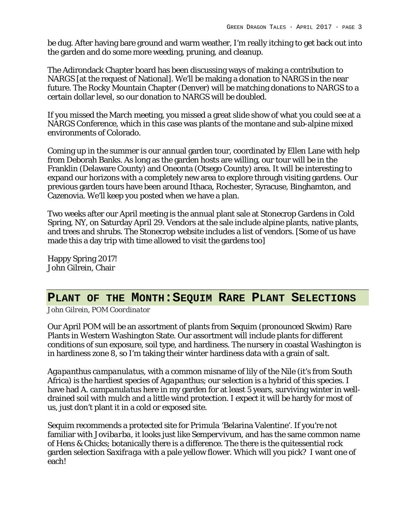be dug. After having bare ground and warm weather, I'm really itching to get back out into the garden and do some more weeding, pruning, and cleanup.

The Adirondack Chapter board has been discussing ways of making a contribution to NARGS [at the request of National]. We'll be making a donation to NARGS in the near future. The Rocky Mountain Chapter (Denver) will be matching donations to NARGS to a certain dollar level, so our donation to NARGS will be doubled.

If you missed the March meeting, you missed a great slide show of what you could see at a NARGS Conference, which in this case was plants of the montane and sub-alpine mixed environments of Colorado.

Coming up in the summer is our annual garden tour, coordinated by Ellen Lane with help from Deborah Banks. As long as the garden hosts are willing, our tour will be in the Franklin (Delaware County) and Oneonta (Otsego County) area. It will be interesting to expand our horizons with a completely new area to explore through visiting gardens. Our previous garden tours have been around Ithaca, Rochester, Syracuse, Binghamton, and Cazenovia. We'll keep you posted when we have a plan.

Two weeks after our April meeting is the annual plant sale at Stonecrop Gardens in Cold Spring, NY, on Saturday April 29. Vendors at the sale include alpine plants, native plants, and trees and shrubs. The Stonecrop website includes a list of vendors. [Some of us have made this a day trip with time allowed to visit the gardens too]

Happy Spring 2017! John Gilrein, Chair

# **PLANT OF THE MONTH:SEQUIM RARE PLANT SELECTIONS**

*John Gilrein, POM Coordinator*

Our April POM will be an assortment of plants from Sequim (pronounced Skwim) Rare Plants in Western Washington State. Our assortment will include plants for different conditions of sun exposure, soil type, and hardiness. The nursery in coastal Washington is in hardiness zone 8, so I'm taking their winter hardiness data with a grain of salt.

*Agapanthus campanulatus*, with a common misname of lily of the Nile (it's from South Africa) is the hardiest species of *Agapanthus*; our selection is a hybrid of this species. I have had *A. campanulatus* here in my garden for at least 5 years, surviving winter in welldrained soil with mulch and a little wind protection. I expect it will be hardy for most of us, just don't plant it in a cold or exposed site.

Sequim recommends a protected site for *Primula* 'Belarina Valentine'. If you're not familiar with *Jovibarba*, it looks just like *Sempervivum*, and has the same common name of Hens & Chicks; botanically there is a difference. The there is the quitessential rock garden selection *Saxifraga* with a pale yellow flower. Which will you pick? I want one of each!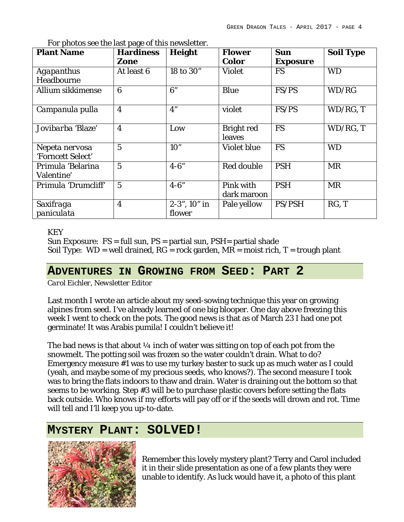|  | For photos see the last page of this newsletter. |
|--|--------------------------------------------------|
|  |                                                  |

| <b>Plant Name</b>                   | Hardiness<br>Zone | Height                 | Flower<br>Color          | Sun<br>Exposure | Soil Type |
|-------------------------------------|-------------------|------------------------|--------------------------|-----------------|-----------|
| Agapanthus<br>Headbourne            | At least 6        | 18 to 30"              | Violet                   | <b>FS</b>       | <b>WD</b> |
| Allium sikkimense                   | 6                 | 6"                     | <b>Blue</b>              | FS/PS           | WD/RG     |
| Campanula pulla                     | $\overline{4}$    | 4 <sup>''</sup>        | violet                   | FS/PS           | WD/RG, T  |
| Jovibarba 'Blaze'                   | $\overline{4}$    | Low                    | Bright red<br>leaves     | <b>FS</b>       | WD/RG, T  |
| Nepeta nervosa<br>'Forncett Select' | 5                 | 10"                    | Violet blue              | <b>FS</b>       | <b>WD</b> |
| Primula 'Belarina<br>Valentine'     | 5                 | $4 - 6''$              | Red double               | <b>PSH</b>      | <b>MR</b> |
| Primula 'Drumcliff'                 | 5                 | $4 - 6"$               | Pink with<br>dark maroon | <b>PSH</b>      | <b>MR</b> |
| Saxifraga<br>paniculata             | $\overline{4}$    | 2-3", 10" in<br>flower | Pale yellow              | PS/PSH          | RG, T     |

#### **KFY**

Sun Exposure:  $FS = full sun$ ,  $PS = partial sun$ ,  $PSH = partial shade$ Soil Type: WD = well drained,  $RG$  = rock garden,  $MR$  = moist rich, T = trough plant

#### **ADVENTURES IN GROWING FROM SEED: PART 2**

*Carol Eichler, Newsletter Editor*

Last month I wrote an article about my seed-sowing technique this year on growing alpines from seed. I've already learned of one big blooper. One day above freezing this week I went to check on the pots. The good news is that as of March 23 I had one pot germinate! It was Arabis pumila! I couldn't believe it!

The bad news is that about  $\frac{1}{4}$  inch of water was sitting on top of each pot from the snowmelt. The potting soil was frozen so the water couldn't drain. What to do? Emergency measure #1 was to use my turkey baster to suck up as much water as I could (yeah, and maybe some of my precious seeds, who knows?). The second measure I took was to bring the flats indoors to thaw and drain. Water is draining out the bottom so that seems to be working. Step #3 will be to purchase plastic covers before setting the flats back outside. Who knows if my efforts will pay off or if the seeds will drown and rot. Time will tell and I'll keep you up-to-date.

# **MYSTERY PLANT: SOLVED!**



Remember this lovely mystery plant? Terry and Carol included it in their slide presentation as one of a few plants they were unable to identify. As luck would have it, a photo of this plant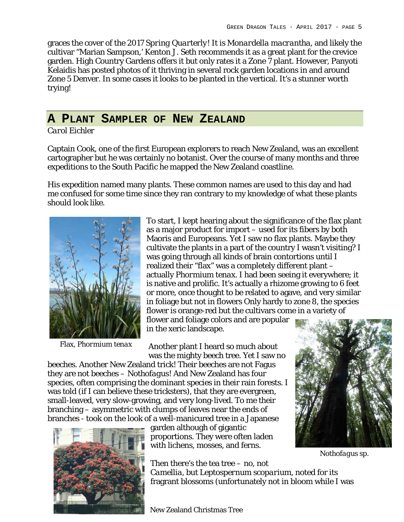graces the cover of the 2017 *Spring Quarterly*! It is *Monardella macrantha*, and likely the cultivar "Marian Sampson,' Kenton J. Seth recommends it as a great plant for the crevice garden. High Country Gardens offers it but only rates it a Zone 7 plant. However, Panyoti Kelaidis has posted photos of it thriving in several rock garden locations in and around Zone 5 Denver. In some cases it looks to be planted in the vertical. It's a stunner worth trying!

# **A PLANT SAMPLER OF NEW ZEALAND**

*Carol Eichler*

Captain Cook, one of the first European explorers to reach New Zealand, was an excellent cartographer but he was certainly no botanist. Over the course of many months and three expeditions to the South Pacific he mapped the New Zealand coastline.

His expedition named many plants. These common names are used to this day and had me confused for some time since they ran contrary to my knowledge of what these plants should look like.



Flax, *Phormium tenax*

To start, I kept hearing about the significance of the flax plant as a major product for import – used for its fibers by both Maoris and Europeans. Yet I saw no flax plants. Maybe they cultivate the plants in a part of the country I wasn't visiting? I was going through all kinds of brain contortions until I realized their "flax" was a completely different plant – actually *Phormium tenax*. I had been seeing it everywhere; it is native and prolific. It's actually a rhizome growing to 6 feet or more, once thought to be related to agave, and very similar in foliage but not in flowers Only hardy to zone 8, the species flower is orange-red but the cultivars come in a variety of

flower and foliage colors and are popular in the xeric landscape.

Another plant I heard so much about was the mighty beech tree. Yet I saw no

beeches. Another New Zealand trick! Their beeches are not Fagus *x* they are not beeches – *Nothofagus*! And New Zealand has four species, often comprising the dominant species in their rain forests. I was told (if I can believe these tricksters), that they are evergreen, small-leaved, very slow-growing, and very long-lived. To me their branching – asymmetric with clumps of leaves near the ends of branches - took on the look of a well-manicured tree in a Japanese



garden although of gigantic proportions. They were often laden with lichens, mosses, and ferns.

Then there's the tea tree – no, not *Camellia*, but *Leptospernum scoparium*, noted for its fragrant blossoms (unfortunately not in bloom while I was



*Nothofagus sp.*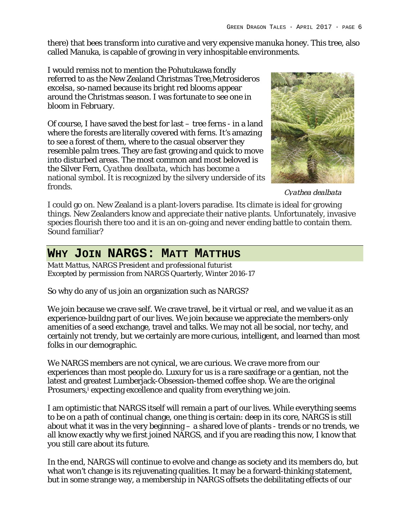there) that bees transform into curative and very expensive manuka honey. This tree, also called Manuka, is capable of growing in very inhospitable environments.

I would remiss not to mention the Pohutukawa fondly referred to as the New Zealand Christmas Tree,*Metrosideros excelsa*, so-named because its bright red blooms appear around the Christmas season. I was fortunate to see one in bloom in February.

Of course, I have saved the best for last – tree ferns - in a land where the forests are literally covered with ferns. It's amazing to see a forest of them, where to the casual observer they resemble palm trees. They are fast growing and quick to move into disturbed areas. The most common and most beloved is the Silver Fern*, Cyathea dealbata,* which has become a national symbol. It is recognized by the silvery underside of its fronds.



*Cyathea dealbata*

I could go on. New Zealand is a plant-lovers paradise. Its climate is ideal for growing things. New Zealanders know and appreciate their native plants. Unfortunately, invasive species flourish there too and it is an on-going and never ending battle to contain them. Sound familiar?

# **WHY JOIN NARGS: MATT MATTHUS**

*Matt Mattus, NARGS President and professional futurist Excepted by permission from* NARGS Quarterly, Winter 2016-17

So why do any of us join an organization such as NARGS?

We join because we crave self. We crave travel, be it virtual or real, and we value it as an experience-buildng part of our lives. We join because we appreciate the members-only amenities of a seed exchange, travel and talks. We may not all be social, nor techy, and certainly not trendy, but we certainly are more curious, intelligent, and learned than most folks in our demographic.

We NARGS members are not cynical, we are curious. We crave more from our experiences than most people do. Luxury for us is a rare saxifrage or a gentian, not the latest and greatest Lumberjack-Obsession-themed coffee shop. We are the original Prosumers,<sup>i</sup> expecting excellence and quality from everything we join.

I am optimistic that NARGS itself will remain a part of our lives. While everything seems to be on a path of continual change, one thing is certain: deep in its core, NARGS is still about what it was in the very beginning – a shared love of plants - trends or no trends, we all know exactly why we first joined NARGS, and if you are reading this now, I know that you still care about its future.

In the end, NARGS will continue to evolve and change as society and its members do, but what won't change is its rejuvenating qualities. It may be a forward-thinking statement, but in some strange way, a membership in NARGS offsets the debilitating effects of our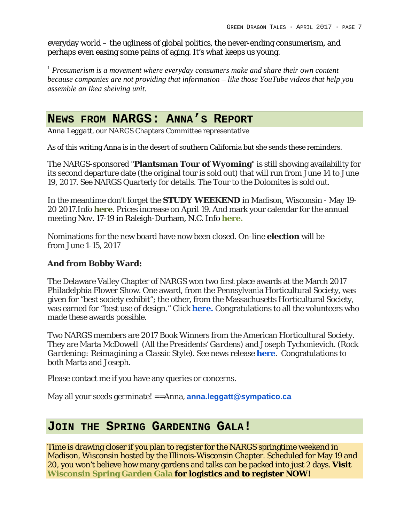everyday world – the ugliness of global politics, the never-ending consumerism, and perhaps even easing some pains of aging. It's what keeps us young.

<sup>1</sup> *Prosumerism is a movement where everyday consumers make and share their own content because companies are not providing that information – like those YouTube videos that help you assemble an Ikea shelving unit.*

# **NEWS FROM NARGS: ANNA'S REPORT**

*Anna Leggatt,* our NARGS Chapters Committee representative

As of this writing Anna is in the desert of southern California but she sends these reminders.

The NARGS-sponsored "**Plantsman Tour of Wyoming**" is still showing availability for its second departure date (the original tour is sold out) that will run from June 14 to June 19, 2017. See NARGS Quarterly for details. The Tour to the Dolomites is sold out.

In the meantime don't forget the **STUDY WEEKEND** in Madison, Wisconsin - May 19- 20 2017.Info *here*. Prices increase on April 19. And mark your calendar for the annual meeting Nov. 17-19 in Raleigh-Durham, N.C. Info **here.**

Nominations for the new board have now been closed. On-line **election** will be from June 1-15, 2017

**And from Bobby Ward:**

The Delaware Valley Chapter of NARGS won two first place awards at the March 2017 Philadelphia Flower Show. One award, from the Pennsylvania Horticultural Society, was given for "best society exhibit"; the other, from the Massachusetts Horticultural Society, was earned for "best use of design." Click **here.** Congratulations to all the volunteers who made these awards possible.

Two NARGS members are 2017 Book Winners from the American Horticultural Society. They are Marta McDowell (*All the Presidents' Gardens)* and Joseph Tychonievich. (*Rock Gardening: Reimagining a Classic Style*). See news release **here**. Congratulations to both Marta and Joseph.

Please contact me if you have any queries or concerns.

May all your seeds germinate! ==Anna, **anna.leggatt@sympatico.ca**

# **JOIN THE SPRING GARDENING GALA!**

Time is drawing closer if you plan to register for the NARGS springtime weekend in Madison, Wisconsin hosted by the Illinois-Wisconsin Chapter. Scheduled for May 19 and 20, you won't believe how many gardens and talks can be packed into just 2 days. **Visit Wisconsin Spring Garden Gala for logistics and to register NOW!**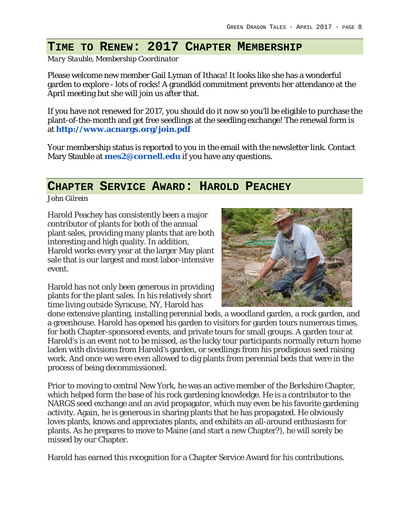# **TIME TO RENEW: 2017 CHAPTER MEMBERSHIP**

*Mary Stauble, Membership Coordinator*

Please welcome new member Gail Lyman of Ithaca! It looks like she has a wonderful garden to explore - lots of rocks! A grandkid commitment prevents her attendance at the April meeting but she will join us after that.

If you have not renewed for 2017, you should do it now so you'll be eligible to purchase the plant-of-the-month and get free seedlings at the seedling exchange! The renewal form is at **http://www.acnargs.org/join.pdf**

Your membership status is reported to you in the email with the newsletter link. Contact Mary Stauble at **mes2@cornell.edu** if you have any questions.

#### **CHAPTER SERVICE AWARD: HAROLD PEACHEY**

*John Gilrein*

Harold Peachey has consistently been a major contributor of plants for both of the annual plant sales, providing many plants that are both interesting and high quality. In addition, Harold works every year at the larger May plant sale that is our largest and most labor-intensive event.

Harold has not only been generous in providing plants for the plant sales. In his relatively short time living outside Syracuse, NY, Harold has



done extensive planting, installing perennial beds, a woodland garden, a rock garden, and a greenhouse. Harold has opened his garden to visitors for garden tours numerous times, for both Chapter-sponsored events, and private tours for small groups. A garden tour at Harold's is an event not to be missed, as the lucky tour participants normally return home laden with divisions from Harold's garden, or seedlings from his prodigious seed raising work. And once we were even allowed to dig plants from perennial beds that were in the process of being decommissioned.

Prior to moving to central New York, he was an active member of the Berkshire Chapter, which helped form the base of his rock gardening knowledge. He is a contributor to the NARGS seed exchange and an avid propagator, which may even be his favorite gardening activity. Again, he is generous in sharing plants that he has propagated. He obviously loves plants, knows and appreciates plants, and exhibits an all-around enthusiasm for plants. As he prepares to move to Maine (and start a new Chapter?), he will sorely be missed by our Chapter.

Harold has earned this recognition for a Chapter Service Award for his contributions.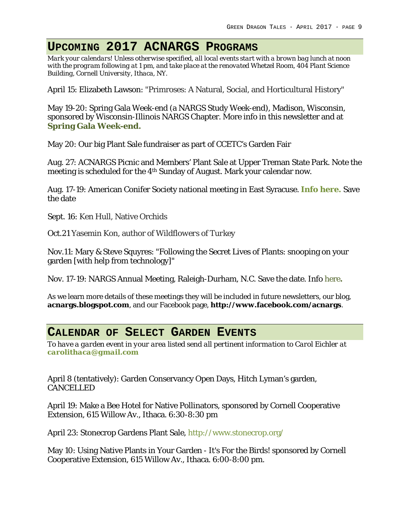# **UPCOMING 2017 ACNARGS PROGRAMS**

*Mark your calendars! Unless otherwise specified, all local events start with a brown bag lunch at noon with the program following at 1 pm, and take place at the renovated Whetzel Room, 404 Plant Science Building, Cornell University, Ithaca, NY.*

April 15: Elizabeth Lawson: "Primroses: A Natural, Social, and Horticultural History"

May 19-20: Spring Gala Week-end (a NARGS Study Week-end), Madison, Wisconsin, sponsored by Wisconsin-Illinois NARGS Chapter. More info in this newsletter and at **Spring Gala Week-end.**

May 20: Our big Plant Sale fundraiser as part of CCETC's Garden Fair

Aug. 27: ACNARGS Picnic and Members' Plant Sale at Upper Treman State Park. Note the meeting is scheduled for the 4th Sunday of August. Mark your calendar now.

Aug. 17-19: American Conifer Society national meeting in East Syracuse. **Info here.** Save the date

Sept. 16: Ken Hull, Native Orchids

Oct.21 Yasemin Kon, author of *Wildflowers of Turkey*

Nov.11: Mary & Steve Squyres: "Following the Secret Lives of Plants: snooping on your garden [with help from technology]"

Nov. 17-19: NARGS Annual Meeting, Raleigh-Durham, N.C. Save the date. Info here**.**

As we learn more details of these meetings they will be included in future newsletters, our blog, **acnargs.blogspot.com**, and our Facebook page, **http://www.facebook.com/acnargs**.

# **CALENDAR OF SELECT GARDEN EVENTS**

*To have a garden event in your area listed send all pertinent information to Carol Eichler at carolithaca@gmail.com*

April 8 (tentatively): Garden Conservancy Open Days, Hitch Lyman's garden, CANCELLED

April 19: Make a Bee Hotel for Native Pollinators, sponsored by Cornell Cooperative Extension, 615 Willow Av., Ithaca. 6:30-8:30 pm

April 23: Stonecrop Gardens Plant Sale, http://www.stonecrop.org/

May 10: Using Native Plants in Your Garden - It's For the Birds! sponsored by Cornell Cooperative Extension, 615 Willow Av., Ithaca. 6:00-8:00 pm.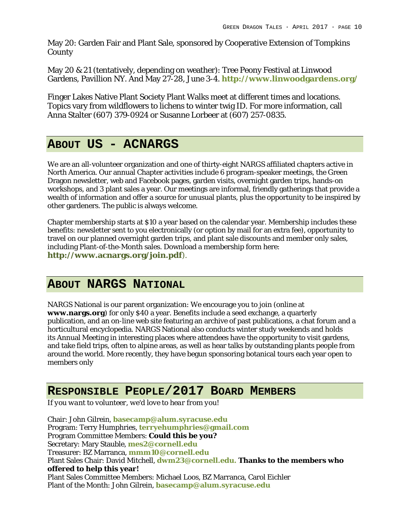May 20: Garden Fair and Plant Sale, sponsored by Cooperative Extension of Tompkins **County** 

May 20 & 21 (tentatively, depending on weather): Tree Peony Festival at Linwood Gardens, Pavillion NY. And May 27-28, June 3-4. **http://www.linwoodgardens.org/**

Finger Lakes Native Plant Society Plant Walks meet at different times and locations. Topics vary from wildflowers to lichens to winter twig ID. For more information, call Anna Stalter (607) 379-0924 or Susanne Lorbeer at (607) 257-0835.

# **ABOUT US - ACNARGS**

We are an all-volunteer organization and one of thirty-eight NARGS affiliated chapters active in North America. Our annual Chapter activities include 6 program-speaker meetings, the Green Dragon newsletter, web and Facebook pages, garden visits, overnight garden trips, hands-on workshops, and 3 plant sales a year. Our meetings are informal, friendly gatherings that provide a wealth of information and offer a source for unusual plants, plus the opportunity to be inspired by other gardeners. The public is always welcome.

Chapter membership starts at \$10 a year based on the calendar year. Membership includes these benefits: newsletter sent to you electronically (or option by mail for an extra fee), opportunity to travel on our planned overnight garden trips, and plant sale discounts and member only sales, including Plant-of-the-Month sales. Download a membership form here: **http://www.acnargs.org/join.pdf**).

# **ABOUT NARGS NATIONAL**

NARGS National is our parent organization: We encourage you to join (online at **www.nargs.org**) for only \$40 a year. Benefits include a seed exchange, a quarterly publication, and an on-line web site featuring an archive of past publications, a chat forum and a horticultural encyclopedia. NARGS National also conducts winter study weekends and holds its Annual Meeting in interesting places where attendees have the opportunity to visit gardens, and take field trips, often to alpine areas, as well as hear talks by outstanding plants people from around the world. More recently, they have begun sponsoring botanical tours each year open to members only

# **RESPONSIBLE PEOPLE/2017 BOARD MEMBERS**

*If you want to volunteer, we'd love to hear from you!*

Chair: John Gilrein, **basecamp@alum.syracuse.edu** Program: Terry Humphries, **terryehumphries@gmail.com** Program Committee Members: **Could this be you?** Secretary: Mary Stauble, **mes2@cornell.edu** Treasurer: BZ Marranca, **mmm10@cornell.edu** Plant Sales Chair: David Mitchell, **dwm23@cornell.edu. Thanks to the members who offered to help this year!** Plant Sales Committee Members: Michael Loos, BZ Marranca, Carol Eichler Plant of the Month: John Gilrein, **basecamp@alum.syracuse.edu**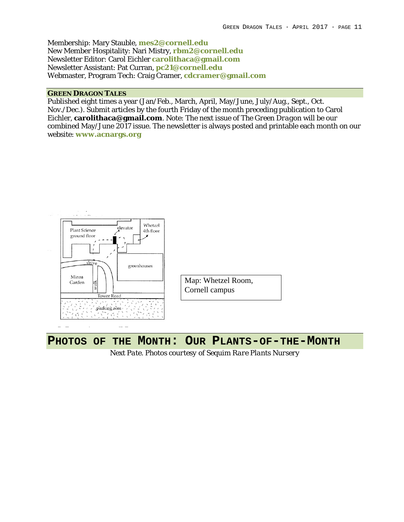Membership: Mary Stauble, **mes2@cornell.edu** New Member Hospitality: Nari Mistry, **rbm2@cornell.edu** Newsletter Editor: Carol Eichler **carolithaca@gmail.com** Newsletter Assistant: Pat Curran, **pc21@cornell.edu** Webmaster, Program Tech: Craig Cramer, **cdcramer@gmail.com**

#### **GREEN DRAGON TALES**

Published eight times a year (Jan/Feb., March, April, May/June, July/Aug., Sept., Oct. Nov./Dec.). Submit articles by the fourth Friday of the month preceding publication to Carol Eichler, **carolithaca@gmail.com**. Note: The next issue of *The Green Dragon* will be our combined May/June 2017 issue. The newsletter is always posted and printable each month on our website: **www.acnargs.org**



# **PHOTOS OF THE MONTH: OUR PLANTS-OF-THE-MONTH**

*Next Pate. Photos courtesy of Sequim Rare Plants Nursery*